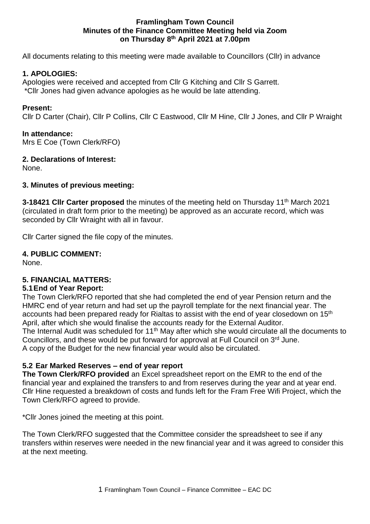#### **Framlingham Town Council Minutes of the Finance Committee Meeting held via Zoom on Thursday 8 th April 2021 at 7.00pm**

All documents relating to this meeting were made available to Councillors (Cllr) in advance

## **1. APOLOGIES:**

Apologies were received and accepted from Cllr G Kitching and Cllr S Garrett. \*Cllr Jones had given advance apologies as he would be late attending.

### **Present:**

Cllr D Carter (Chair), Cllr P Collins, Cllr C Eastwood, Cllr M Hine, Cllr J Jones, and Cllr P Wraight

### **In attendance:**

Mrs E Coe (Town Clerk/RFO)

### **2. Declarations of Interest:**

None.

## **3. Minutes of previous meeting:**

3-18421 Clir Carter proposed the minutes of the meeting held on Thursday 11<sup>th</sup> March 2021 (circulated in draft form prior to the meeting) be approved as an accurate record, which was seconded by Cllr Wraight with all in favour.

Cllr Carter signed the file copy of the minutes.

## **4. PUBLIC COMMENT:**

None.

# **5. FINANCIAL MATTERS:**

# **5.1End of Year Report:**

The Town Clerk/RFO reported that she had completed the end of year Pension return and the HMRC end of year return and had set up the payroll template for the next financial year. The accounts had been prepared ready for Rialtas to assist with the end of year closedown on 15<sup>th</sup> April, after which she would finalise the accounts ready for the External Auditor. The Internal Audit was scheduled for 11<sup>th</sup> May after which she would circulate all the documents to Councillors, and these would be put forward for approval at Full Council on 3rd June. A copy of the Budget for the new financial year would also be circulated.

# **5.2 Ear Marked Reserves – end of year report**

**The Town Clerk/RFO provided** an Excel spreadsheet report on the EMR to the end of the financial year and explained the transfers to and from reserves during the year and at year end. Cllr Hine requested a breakdown of costs and funds left for the Fram Free Wifi Project, which the Town Clerk/RFO agreed to provide.

\*Cllr Jones joined the meeting at this point.

The Town Clerk/RFO suggested that the Committee consider the spreadsheet to see if any transfers within reserves were needed in the new financial year and it was agreed to consider this at the next meeting.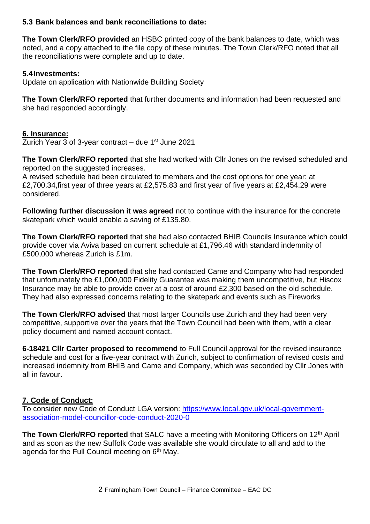### **5.3 Bank balances and bank reconciliations to date:**

**The Town Clerk/RFO provided** an HSBC printed copy of the bank balances to date, which was noted, and a copy attached to the file copy of these minutes. The Town Clerk/RFO noted that all the reconciliations were complete and up to date.

## **5.4Investments:**

Update on application with Nationwide Building Society

**The Town Clerk/RFO reported** that further documents and information had been requested and she had responded accordingly.

## **6. Insurance:**

Zurich Year 3 of 3-year contract  $-$  due 1st June 2021

**The Town Clerk/RFO reported** that she had worked with Cllr Jones on the revised scheduled and reported on the suggested increases.

A revised schedule had been circulated to members and the cost options for one year: at £2,700.34,first year of three years at £2,575.83 and first year of five years at £2,454.29 were considered.

**Following further discussion it was agreed** not to continue with the insurance for the concrete skatepark which would enable a saving of £135.80.

**The Town Clerk/RFO reported** that she had also contacted BHIB Councils Insurance which could provide cover via Aviva based on current schedule at £1,796.46 with standard indemnity of £500,000 whereas Zurich is £1m.

**The Town Clerk/RFO reported** that she had contacted Came and Company who had responded that unfortunately the £1,000,000 Fidelity Guarantee was making them uncompetitive, but Hiscox Insurance may be able to provide cover at a cost of around £2,300 based on the old schedule. They had also expressed concerns relating to the skatepark and events such as Fireworks

**The Town Clerk/RFO advised** that most larger Councils use Zurich and they had been very competitive, supportive over the years that the Town Council had been with them, with a clear policy document and named account contact.

**6-18421 Cllr Carter proposed to recommend** to Full Council approval for the revised insurance schedule and cost for a five-year contract with Zurich, subject to confirmation of revised costs and increased indemnity from BHIB and Came and Company, which was seconded by Cllr Jones with all in favour.

# **7. Code of Conduct:**

To consider new Code of Conduct LGA version: [https://www.local.gov.uk/local-government](https://www.local.gov.uk/local-government-association-model-councillor-code-conduct-2020-0)[association-model-councillor-code-conduct-2020-0](https://www.local.gov.uk/local-government-association-model-councillor-code-conduct-2020-0)

**The Town Clerk/RFO reported** that SALC have a meeting with Monitoring Officers on 12<sup>th</sup> April and as soon as the new Suffolk Code was available she would circulate to all and add to the agenda for the Full Council meeting on 6<sup>th</sup> May.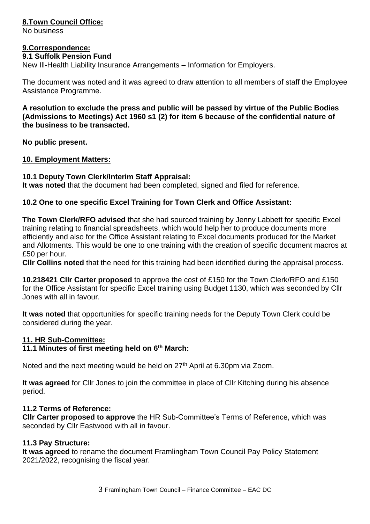## **8.Town Council Office:**

No business

### **9.Correspondence:**

#### **9.1 Suffolk Pension Fund**

New Ill-Health Liability Insurance Arrangements – Information for Employers.

The document was noted and it was agreed to draw attention to all members of staff the Employee Assistance Programme.

**A resolution to exclude the press and public will be passed by virtue of the Public Bodies (Admissions to Meetings) Act 1960 s1 (2) for item 6 because of the confidential nature of the business to be transacted.** 

**No public present.**

#### **10. Employment Matters:**

#### **10.1 Deputy Town Clerk/Interim Staff Appraisal:**

**It was noted** that the document had been completed, signed and filed for reference.

### **10.2 One to one specific Excel Training for Town Clerk and Office Assistant:**

**The Town Clerk/RFO advised** that she had sourced training by Jenny Labbett for specific Excel training relating to financial spreadsheets, which would help her to produce documents more efficiently and also for the Office Assistant relating to Excel documents produced for the Market and Allotments. This would be one to one training with the creation of specific document macros at £50 per hour.

**Cllr Collins noted** that the need for this training had been identified during the appraisal process.

**10.218421 Cllr Carter proposed** to approve the cost of £150 for the Town Clerk/RFO and £150 for the Office Assistant for specific Excel training using Budget 1130, which was seconded by Cllr Jones with all in favour.

**It was noted** that opportunities for specific training needs for the Deputy Town Clerk could be considered during the year.

### **11. HR Sub-Committee:**

#### **11.1 Minutes of first meeting held on 6th March:**

Noted and the next meeting would be held on 27<sup>th</sup> April at 6.30pm via Zoom.

**It was agreed** for Cllr Jones to join the committee in place of Cllr Kitching during his absence period.

#### **11.2 Terms of Reference:**

**Cllr Carter proposed to approve** the HR Sub-Committee's Terms of Reference, which was seconded by Cllr Eastwood with all in favour.

### **11.3 Pay Structure:**

**It was agreed** to rename the document Framlingham Town Council Pay Policy Statement 2021/2022, recognising the fiscal year.